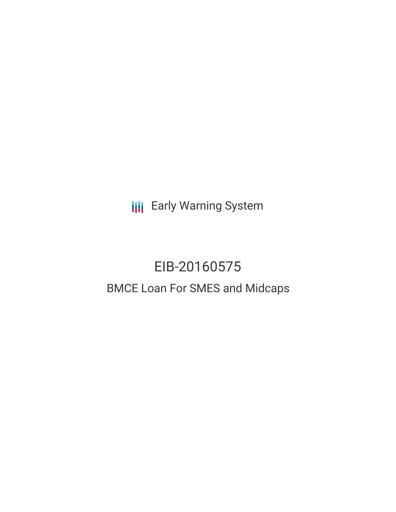**III** Early Warning System

# EIB-20160575 BMCE Loan For SMES and Midcaps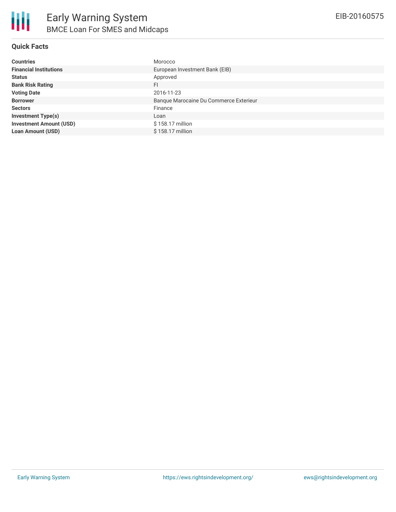

#### **Quick Facts**

| <b>Countries</b>               | Morocco                                |
|--------------------------------|----------------------------------------|
| <b>Financial Institutions</b>  | European Investment Bank (EIB)         |
| <b>Status</b>                  | Approved                               |
| <b>Bank Risk Rating</b>        | FI                                     |
| <b>Voting Date</b>             | 2016-11-23                             |
| <b>Borrower</b>                | Banque Marocaine Du Commerce Exterieur |
| <b>Sectors</b>                 | Finance                                |
| <b>Investment Type(s)</b>      | Loan                                   |
| <b>Investment Amount (USD)</b> | \$158.17 million                       |
| <b>Loan Amount (USD)</b>       | \$158.17 million                       |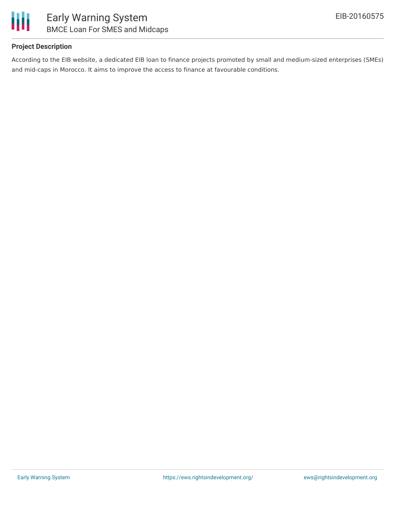

#### **Project Description**

According to the EIB website, a dedicated EIB loan to finance projects promoted by small and medium-sized enterprises (SMEs) and mid-caps in Morocco. It aims to improve the access to finance at favourable conditions.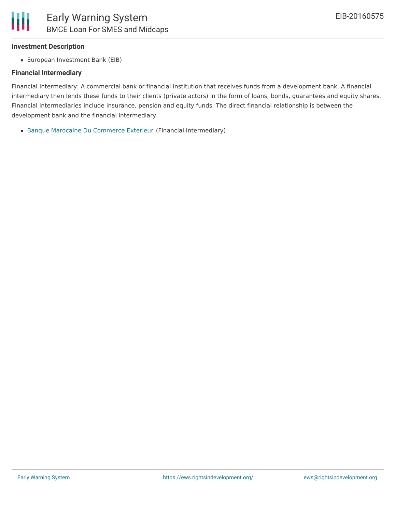#### **Investment Description**

European Investment Bank (EIB)

#### **Financial Intermediary**

Financial Intermediary: A commercial bank or financial institution that receives funds from a development bank. A financial intermediary then lends these funds to their clients (private actors) in the form of loans, bonds, guarantees and equity shares. Financial intermediaries include insurance, pension and equity funds. The direct financial relationship is between the development bank and the financial intermediary.

Banque Marocaine Du [Commerce](file:///actor/1391/) Exterieur (Financial Intermediary)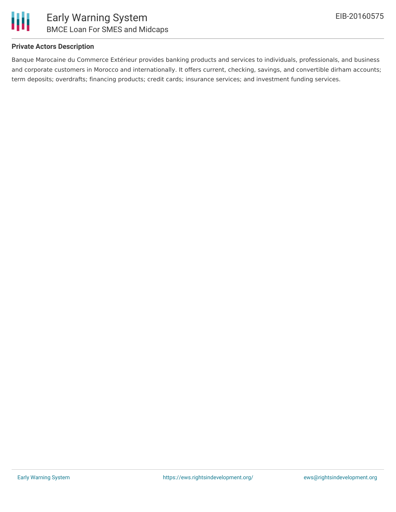

#### **Private Actors Description**

Banque Marocaine du Commerce Extérieur provides banking products and services to individuals, professionals, and business and corporate customers in Morocco and internationally. It offers current, checking, savings, and convertible dirham accounts; term deposits; overdrafts; financing products; credit cards; insurance services; and investment funding services.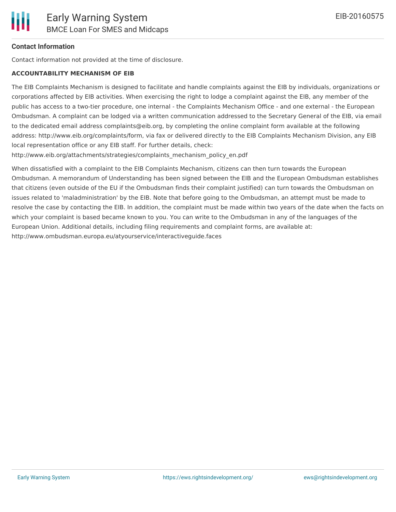### **Contact Information**

Contact information not provided at the time of disclosure.

#### **ACCOUNTABILITY MECHANISM OF EIB**

The EIB Complaints Mechanism is designed to facilitate and handle complaints against the EIB by individuals, organizations or corporations affected by EIB activities. When exercising the right to lodge a complaint against the EIB, any member of the public has access to a two-tier procedure, one internal - the Complaints Mechanism Office - and one external - the European Ombudsman. A complaint can be lodged via a written communication addressed to the Secretary General of the EIB, via email to the dedicated email address complaints@eib.org, by completing the online complaint form available at the following address: http://www.eib.org/complaints/form, via fax or delivered directly to the EIB Complaints Mechanism Division, any EIB local representation office or any EIB staff. For further details, check:

http://www.eib.org/attachments/strategies/complaints\_mechanism\_policy\_en.pdf

When dissatisfied with a complaint to the EIB Complaints Mechanism, citizens can then turn towards the European Ombudsman. A memorandum of Understanding has been signed between the EIB and the European Ombudsman establishes that citizens (even outside of the EU if the Ombudsman finds their complaint justified) can turn towards the Ombudsman on issues related to 'maladministration' by the EIB. Note that before going to the Ombudsman, an attempt must be made to resolve the case by contacting the EIB. In addition, the complaint must be made within two years of the date when the facts on which your complaint is based became known to you. You can write to the Ombudsman in any of the languages of the European Union. Additional details, including filing requirements and complaint forms, are available at: http://www.ombudsman.europa.eu/atyourservice/interactiveguide.faces